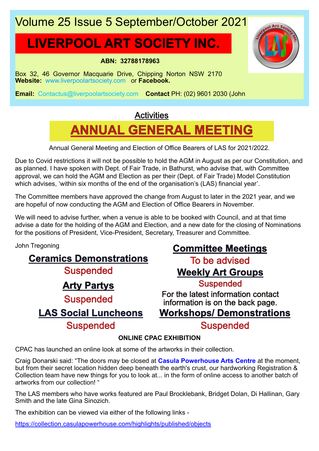# Volume 25 Issue 5 September/October 2021

# **LIVERPOOL ART SOCIETY INC.**

#### **ABN: 32788178963**

Box 32, 46 Governor Macquarie Drive, Chipping Norton NSW 2170 **Website:** www.liverpoolartsociety.com or **Facebook.**

**Email:** Contactus@liverpoolartsociety.com **Contact** PH: (02) 9601 2030 (John

# **ANNUAL GENERAL MEETING Activities**

Annual General Meeting and Election of Office Bearers of LAS for 2021/2022.

Due to Covid restrictions it will not be possible to hold the AGM in August as per our Constitution, and as planned. I have spoken with Dept. of Fair Trade, in Bathurst, who advise that, with Committee approval, we can hold the AGM and Election as per their (Dept. of Fair Trade) Model Constitution which advises, 'within six months of the end of the organisation's (LAS) financial year'.

The Committee members have approved the change from August to later in the 2021 year, and we are hopeful of now conducting the AGM and Election of Office Bearers in November.

We will need to advise further, when a venue is able to be booked with Council, and at that time advise a date for the holding of the AGM and Election, and a new date for the closing of Nominations for the positions of President, Vice-President, Secretary, Treasurer and Committee.

John Tregoning

**Ceramics Demonstrations Suspended Arty Partys** Suspended **LAS Social Luncheons** Suspended

# **Committee Meetings**

To be advised **Weekly Art Groups Suspended** 

**Workshops/ Demonstrations** For the latest information contact information is on the back page.

## Suspended

### **ONLINE CPAC EXHIBITION**

CPAC has launched an online look at some of the artworks in their collection.

Craig Donarski said: "The doors may be closed at **Casula Powerhouse Arts Centre** at the moment, but from their secret location hidden deep beneath the earth's crust, our hardworking Registration & Collection team have new things for you to look at... in the form of online access to another batch of artworks from our collection! "

The LAS members who have works featured are Paul Brocklebank, Bridget Dolan, Di Hallinan, Gary Smith and the late Gina Sinozich.

The exhibition can be viewed via either of the following links -

https://collection.casulapowerhouse.com/highlights/published/objects

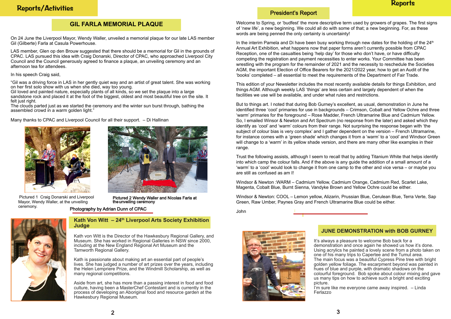## Reports/Activities

Welcome to Spring, or 'budfest' the more descriptive term used by growers of grapes. The first signs of 'new life', a new beginning. We could all do with some of that; a new beginning. For, as these words are being penned the only certainty is uncertainty!

In the interim Pamela and Di have been busy working through new dates for the holding of the 24<sup>th</sup> Annual Art Exhibition, what happens now that paper forms aren't currently possible from CPAC Reception, one of the casualties being 'help day' for those who don't have, or have difficulty competing the registration and payment necessities to enter works. Your Committee has been wrestling with the program for the remainder of 2021 and the necessity to reschedule the Societies AGM, the important Election of Office Bearers for the 2021/2022 year, how to get an Audit of the 'books' completed – all essential to meet the requirements of the Department of Fair Trade.

This edition of your Newsletter includes the most recently available details for things Exhibition, and things AGM. Although weekly LAS 'things' are less certain and largely dependent of when the facilities we use will be available, and under what rules and restrictions.

But to things art. I noted that during Bob Gurney's excellent, as usual, demonstration in June he identified three 'cool' primaries for use in backgrounds – Crimson, Cobalt and Yellow Ochre and three 'warm' primaries for the foreground – Rose Madder, French Ultramarine Blue and Cadmium Yellow. So, I emailed Winsor & Newton and Art Spectrum (no response from the later) and asked which they identify as 'cool' and 'warm' colours from their range. Not surprising the response began with 'the subject of colour bias is very complex' and I gather dependent on the version – French Ultramarine, for instance comes with a 'green shade' which changes it from a 'warm' to a 'cool' and Windsor Green will change to a 'warm' in its yellow shade version, and there are many other like examples in their range.

Trust the following assists, although I seem to recall that by adding Titanium White that helps identify into which camp the colour falls. And if the above is any guide the addition of a small amount of a 'warm' to a 'cool' would look to change it from one camp to the other and vice versa – or maybe you are still as confused as am I!

Windsor & Newton :WARM – Cadmium Yellow, Cadmium Orange, Cadmium Red, Scarlet Lake, Magenta, Cobalt Blue, Burnt Sienna, Vandyke Brown and Yellow Ochre could be either.

Windsor & Newton: COOL – Lemon yellow, Alizarin, Prussian Blue, Cerulean Blue, Terra Verte, Sap Green, Raw Umber, Paynes Gray and French Ultramarine Blue could be either.

Pictured 2 Wendy Waller and Nicolas Farla at the unveiling ceremony

John

#### **Kath Von Witt – 24th Liverpool Arts Society Exhibition Judge**

Kath von Witt is the Director of the Hawkesbury Regional Gallery, and Museum. She has worked in Regional Galleries in NSW since 2000, including at the New England Regional Art Museum and the Tamworth Regional Gallery.

Kath is passionate about making art an essential part of people's lives. She has judged a number of art prizes over the years, including the Helen Lempriere Prize, and the Windmill Scholarship, as well as many regional competitions.

Aside from art, she has more than a passing interest in food and food culture, having been a MasterChef Contestant and is currently in the process of developing an Aboriginal food and resource garden at the Hawkesbury Regional Museum.

## President's Report

On 24 June the Liverpool Mayor, Wendy Waller, unveiled a memorial plaque for our late LAS member Gil (Gilberte) Farla at Casula Powerhouse.

LAS member, Glen op den Brouw suggested that there should be a memorial for Gil in the grounds of CPAC. LAS pursued this idea with Craig Donarski, Director of CPAC, who approached Liverpool City Council and the Council generously agreed to finance a plaque, an unveiling ceremony and an afternoon tea for attendees.

In his speech Craig said,

"Gil was a driving force in LAS in her gently quiet way and an artist of great talent. She was working on her first solo show with us when she died, way too young.

Gil loved and painted nature, especially plants of all kinds, so we set the plaque into a large sandstone rock and placed it at the foot of the biggest, oldest and most beautiful tree on the site. It felt just right.

The clouds parted just as we started the ceremony and the winter sun burst through, bathing the assembled crowd in a warm golden light."

Many thanks to CPAC and Liverpool Council for all their support. – Di Hallinan





Pictured 1 Craig Donarski and Liverpool Mayor, Wendy Waller, at the unveiling ceremony.

#### **JUNE DEMONSTRATION with BOB GURNEY**

It's always a pleasure to welcome Bob back for a demonstration and once again he showed us how it's done. Using acrylics he painted a lovely scene from a photo taken on one of his many trips to Capertee and the Tumut area. The main focus was a beautiful Cypress Pine tree with bright golden yellow foliage. The escarpment beyond was painted in hues of blue and purple, with dramatic shadows on the colourful foreground. Bob spoke about colour mixing and gave us many tips on how to achieve such a bright and exciting picture. I'm sure like me everyone came away inspired. – Linda Ferlazzo

## **Reports**

## **GIL FARLA MEMORIAL PLAQUE**

Photography by Adrian Dunn of CPAC